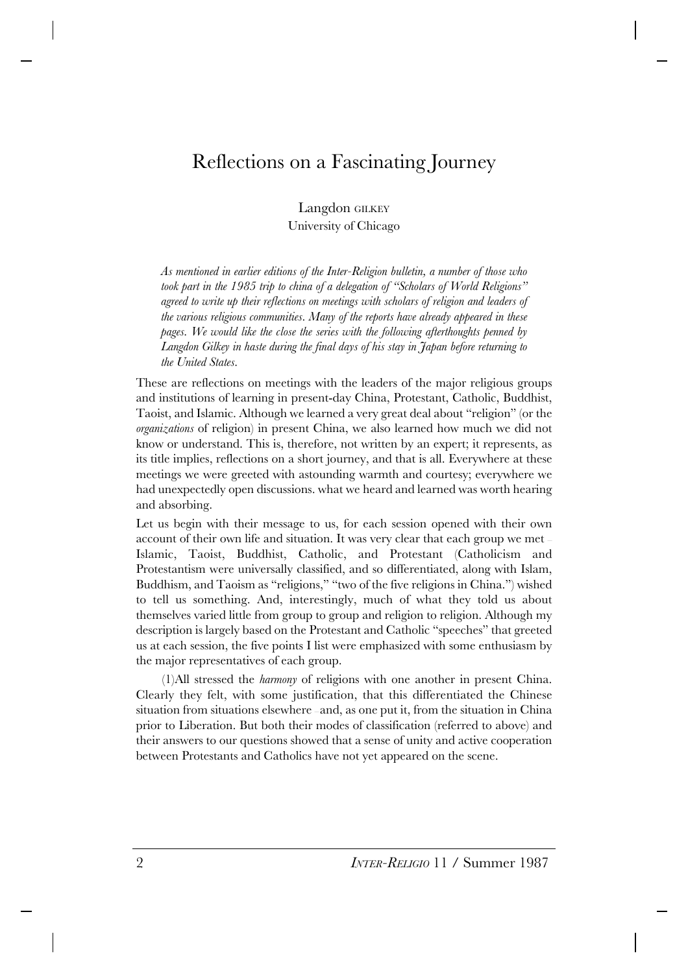## Reflections on a Fascinating Journey

Langdon GILKEY University of Chicago

*As mentioned in earlier editions of the Inter-Religion bulletin, a number of those who took part in the 1985 trip to china of a delegation of "Scholars of World Religions" agreed to write up their reflections on meetings with scholars of religion and leaders of the various religious communities. Many of the reports have already appeared in these pages. We would like the close the series with the following afterthoughts penned by Langdon Gilkey in haste during the final days of his stay in Japan before returning to the United States.*

These are reflections on meetings with the leaders of the major religious groups and institutions of learning in present-day China, Protestant, Catholic, Buddhist, Taoist, and Islamic. Although we learned a very great deal about "religion" (or the *organizations* of religion) in present China, we also learned how much we did not know or understand. This is, therefore, not written by an expert; it represents, as its title implies, reflections on a short journey, and that is all. Everywhere at these meetings we were greeted with astounding warmth and courtesy; everywhere we had unexpectedly open discussions. what we heard and learned was worth hearing and absorbing.

Let us begin with their message to us, for each session opened with their own account of their own life and situation. It was very clear that each group we met — Islamic, Taoist, Buddhist, Catholic, and Protestant (Catholicism and Protestantism were universally classified, and so differentiated, along with Islam, Buddhism, and Taoism as "religions," "two of the five religions in China.") wished to tell us something. And, interestingly, much of what they told us about themselves varied little from group to group and religion to religion. Although my description is largely based on the Protestant and Catholic "speeches" that greeted us at each session, the five points I list were emphasized with some enthusiasm by the major representatives of each group.

(1)All stressed the *harmony* of religions with one another in present China. Clearly they felt, with some justification, that this differentiated the Chinese situation from situations elsewhere — and, as one put it, from the situation in China prior to Liberation. But both their modes of classification (referred to above) and their answers to our questions showed that a sense of unity and active cooperation between Protestants and Catholics have not yet appeared on the scene.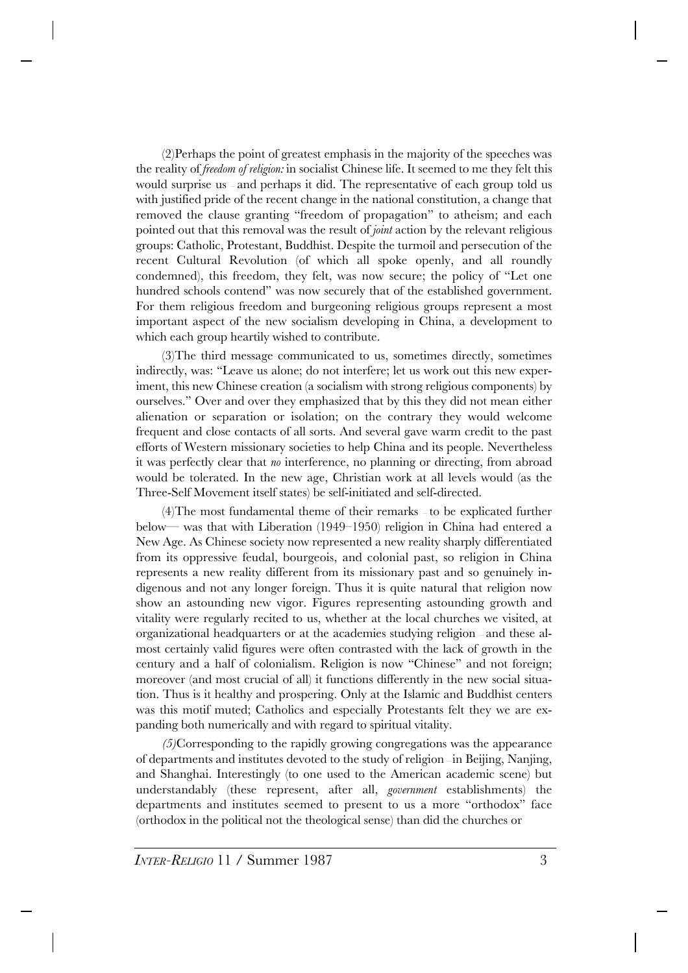(2)Perhaps the point of greatest emphasis in the majority of the speeches was the reality of *freedom of religion:* in socialist Chinese life. It seemed to me they felt this would surprise us — and perhaps it did. The representative of each group told us with justified pride of the recent change in the national constitution, a change that removed the clause granting "freedom of propagation" to atheism; and each pointed out that this removal was the result of *joint* action by the relevant religious groups: Catholic, Protestant, Buddhist. Despite the turmoil and persecution of the recent Cultural Revolution (of which all spoke openly, and all roundly condemned), this freedom, they felt, was now secure; the policy of "Let one hundred schools contend" was now securely that of the established government. For them religious freedom and burgeoning religious groups represent a most important aspect of the new socialism developing in China, a development to which each group heartily wished to contribute.

(3)The third message communicated to us, sometimes directly, sometimes indirectly, was: "Leave us alone; do not interfere; let us work out this new experiment, this new Chinese creation (a socialism with strong religious components) by ourselves." Over and over they emphasized that by this they did not mean either alienation or separation or isolation; on the contrary they would welcome frequent and close contacts of all sorts. And several gave warm credit to the past efforts of Western missionary societies to help China and its people. Nevertheless it was perfectly clear that *no* interference, no planning or directing, from abroad would be tolerated. In the new age, Christian work at all levels would (as the Three-Self Movement itself states) be self-initiated and self-directed.

(4)The most fundamental theme of their remarks — to be explicated further below— was that with Liberation (1949–1950) religion in China had entered a New Age. As Chinese society now represented a new reality sharply differentiated from its oppressive feudal, bourgeois, and colonial past, so religion in China represents a new reality different from its missionary past and so genuinely indigenous and not any longer foreign. Thus it is quite natural that religion now show an astounding new vigor. Figures representing astounding growth and vitality were regularly recited to us, whether at the local churches we visited, at organizational headquarters or at the academies studying religion — and these almost certainly valid figures were often contrasted with the lack of growth in the century and a half of colonialism. Religion is now "Chinese" and not foreign; moreover (and most crucial of all) it functions differently in the new social situation. Thus is it healthy and prospering. Only at the Islamic and Buddhist centers was this motif muted; Catholics and especially Protestants felt they we are expanding both numerically and with regard to spiritual vitality.

*(5)*Corresponding to the rapidly growing congregations was the appearance of departments and institutes devoted to the study of religion — in Beijing, Nanjing, and Shanghai. Interestingly (to one used to the American academic scene) but understandably (these represent, after all, *government* establishments) the departments and institutes seemed to present to us a more "orthodox" face (orthodox in the political not the theological sense) than did the churches or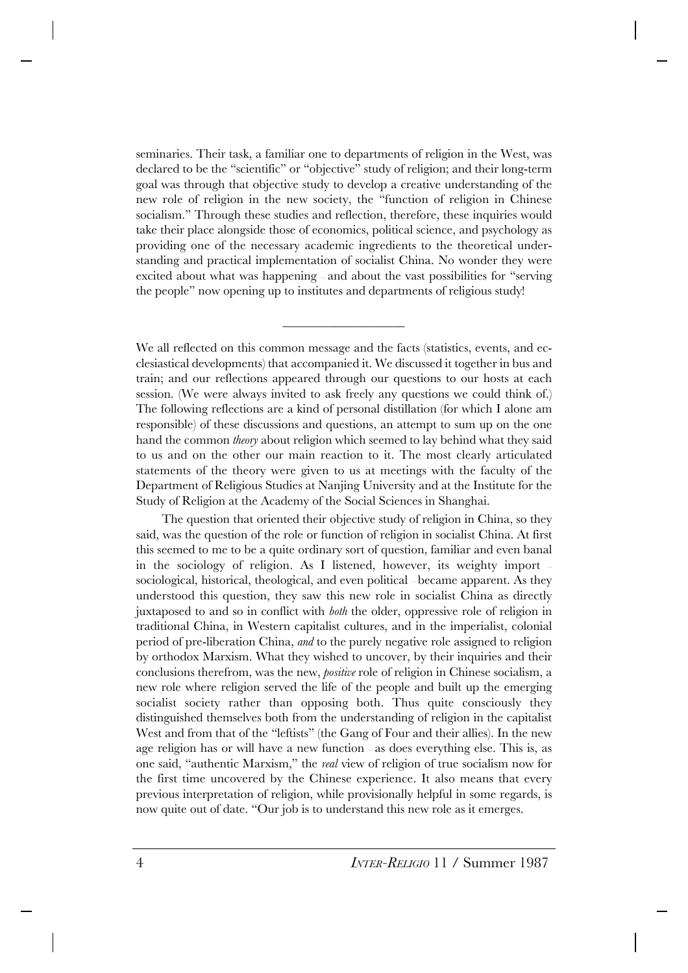seminaries. Their task, a familiar one to departments of religion in the West, was declared to be the "scientific" or "objective" study of religion; and their long-term goal was through that objective study to develop a creative understanding of the new role of religion in the new society, the "function of religion in Chinese socialism." Through these studies and reflection, therefore, these inquiries would take their place alongside those of economics, political science, and psychology as providing one of the necessary academic ingredients to the theoretical understanding and practical implementation of socialist China. No wonder they were excited about what was happening — and about the vast possibilities for "serving the people" now opening up to institutes and departments of religious study!

We all reflected on this common message and the facts (statistics, events, and ecclesiastical developments) that accompanied it. We discussed it together in bus and train; and our reflections appeared through our questions to our hosts at each session. (We were always invited to ask freely any questions we could think of.) The following reflections are a kind of personal distillation (for which I alone am responsible) of these discussions and questions, an attempt to sum up on the one hand the common *theory* about religion which seemed to lay behind what they said to us and on the other our main reaction to it. The most clearly articulated statements of the theory were given to us at meetings with the faculty of the Department of Religious Studies at Nanjing University and at the Institute for the Study of Religion at the Academy of the Social Sciences in Shanghai.

\_\_\_\_\_\_\_\_\_\_\_\_\_\_\_\_\_\_\_\_\_

The question that oriented their objective study of religion in China, so they said, was the question of the role or function of religion in socialist China. At first this seemed to me to be a quite ordinary sort of question, familiar and even banal in the sociology of religion. As I listened, however, its weighty import sociological, historical, theological, and even political — became apparent. As they understood this question, they saw this new role in socialist China as directly juxtaposed to and so in conflict with *both* the older, oppressive role of religion in traditional China, in Western capitalist cultures, and in the imperialist, colonial period of pre-liberation China, *and* to the purely negative role assigned to religion by orthodox Marxism. What they wished to uncover, by their inquiries and their conclusions therefrom, was the new, *positive* role of religion in Chinese socialism, a new role where religion served the life of the people and built up the emerging socialist society rather than opposing both. Thus quite consciously they distinguished themselves both from the understanding of religion in the capitalist West and from that of the "leftists" (the Gang of Four and their allies). In the new age religion has or will have a new function — as does everything else. This is, as one said, "authentic Marxism," the *real* view of religion of true socialism now for the first time uncovered by the Chinese experience. It also means that every previous interpretation of religion, while provisionally helpful in some regards, is now quite out of date. "Our job is to understand this new role as it emerges.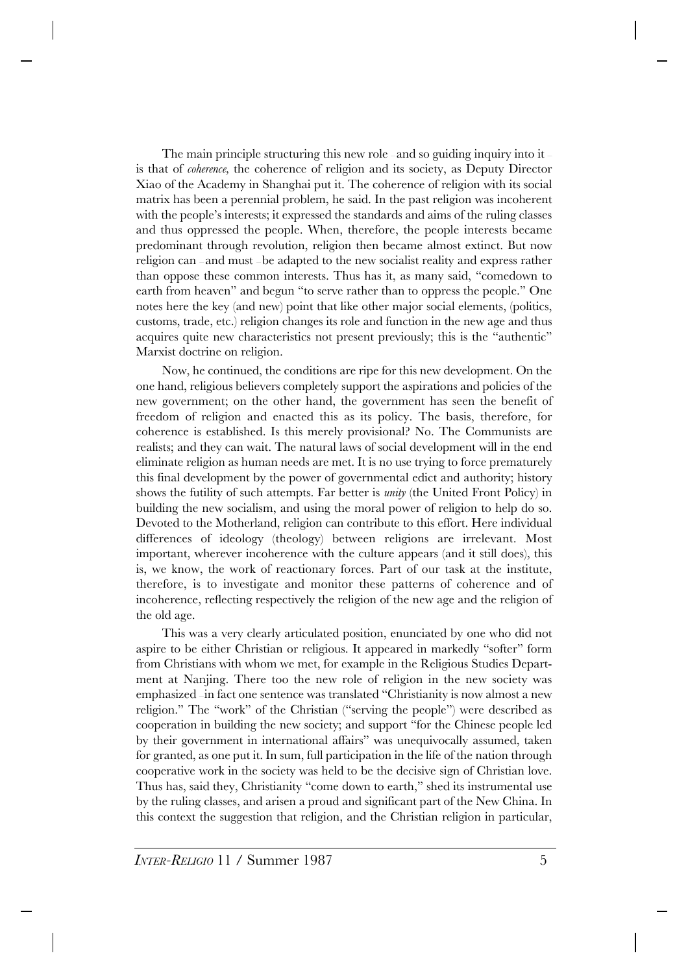The main principle structuring this new role – and so guiding inquiry into it – is that of *coherence,* the coherence of religion and its society, as Deputy Director Xiao of the Academy in Shanghai put it. The coherence of religion with its social matrix has been a perennial problem, he said. In the past religion was incoherent with the people's interests; it expressed the standards and aims of the ruling classes and thus oppressed the people. When, therefore, the people interests became predominant through revolution, religion then became almost extinct. But now religion can — and must — be adapted to the new socialist reality and express rather than oppose these common interests. Thus has it, as many said, "comedown to earth from heaven" and begun "to serve rather than to oppress the people." One notes here the key (and new) point that like other major social elements, (politics, customs, trade, etc.) religion changes its role and function in the new age and thus acquires quite new characteristics not present previously; this is the "authentic" Marxist doctrine on religion.

Now, he continued, the conditions are ripe for this new development. On the one hand, religious believers completely support the aspirations and policies of the new government; on the other hand, the government has seen the benefit of freedom of religion and enacted this as its policy. The basis, therefore, for coherence is established. Is this merely provisional? No. The Communists are realists; and they can wait. The natural laws of social development will in the end eliminate religion as human needs are met. It is no use trying to force prematurely this final development by the power of governmental edict and authority; history shows the futility of such attempts. Far better is *unity* (the United Front Policy) in building the new socialism, and using the moral power of religion to help do so. Devoted to the Motherland, religion can contribute to this effort. Here individual differences of ideology (theology) between religions are irrelevant. Most important, wherever incoherence with the culture appears (and it still does), this is, we know, the work of reactionary forces. Part of our task at the institute, therefore, is to investigate and monitor these patterns of coherence and of incoherence, reflecting respectively the religion of the new age and the religion of the old age.

This was a very clearly articulated position, enunciated by one who did not aspire to be either Christian or religious. It appeared in markedly "softer" form from Christians with whom we met, for example in the Religious Studies Department at Nanjing. There too the new role of religion in the new society was emphasized — in fact one sentence was translated "Christianity is now almost a new religion." The "work" of the Christian ("serving the people") were described as cooperation in building the new society; and support "for the Chinese people led by their government in international affairs" was unequivocally assumed, taken for granted, as one put it. In sum, full participation in the life of the nation through cooperative work in the society was held to be the decisive sign of Christian love. Thus has, said they, Christianity "come down to earth," shed its instrumental use by the ruling classes, and arisen a proud and significant part of the New China. In this context the suggestion that religion, and the Christian religion in particular,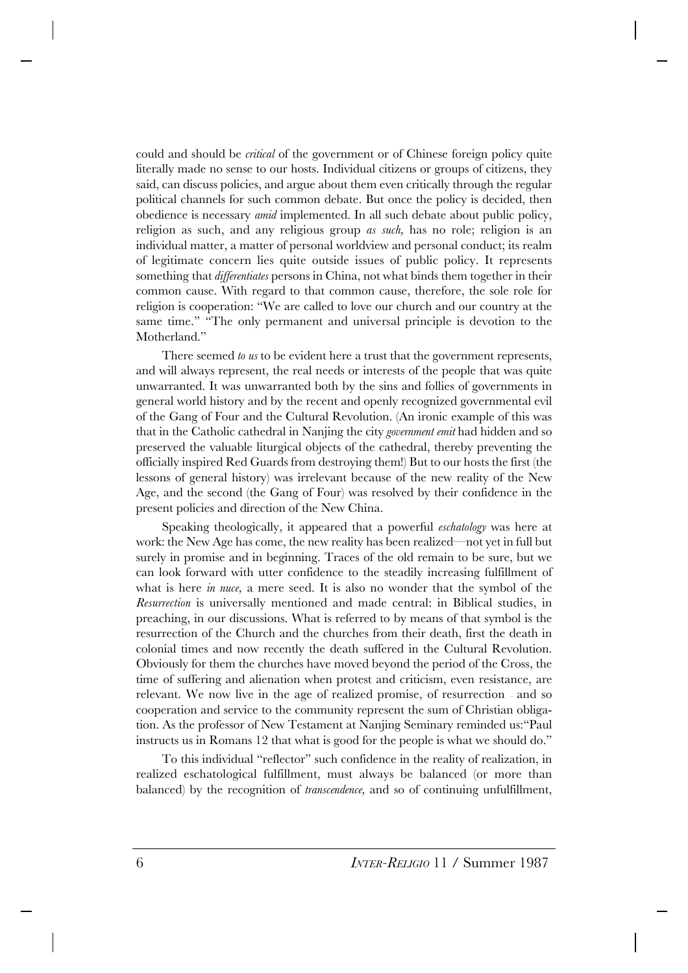could and should be *critical* of the government or of Chinese foreign policy quite literally made no sense to our hosts. Individual citizens or groups of citizens, they said, can discuss policies, and argue about them even critically through the regular political channels for such common debate. But once the policy is decided, then obedience is necessary *amid* implemented. In all such debate about public policy, religion as such, and any religious group *as such,* has no role; religion is an individual matter, a matter of personal worldview and personal conduct; its realm of legitimate concern lies quite outside issues of public policy. It represents something that *differentiates* persons in China, not what binds them together in their common cause. With regard to that common cause, therefore, the sole role for religion is cooperation: "We are called to love our church and our country at the same time." "The only permanent and universal principle is devotion to the Motherland<sup>"</sup>

There seemed *to us* to be evident here a trust that the government represents, and will always represent, the real needs or interests of the people that was quite unwarranted. It was unwarranted both by the sins and follies of governments in general world history and by the recent and openly recognized governmental evil of the Gang of Four and the Cultural Revolution. (An ironic example of this was that in the Catholic cathedral in Nanjing the city *government emit* had hidden and so preserved the valuable liturgical objects of the cathedral, thereby preventing the officially inspired Red Guards from destroying them!) But to our hosts the first (the lessons of general history) was irrelevant because of the new reality of the New Age, and the second (the Gang of Four) was resolved by their confidence in the present policies and direction of the New China.

Speaking theologically, it appeared that a powerful *eschatology* was here at work: the New Age has come, the new reality has been realized—not yet in full but surely in promise and in beginning. Traces of the old remain to be sure, but we can look forward with utter confidence to the steadily increasing fulfillment of what is here *in nuce,* a mere seed. It is also no wonder that the symbol of the *Resurrection* is universally mentioned and made central: in Biblical studies, in preaching, in our discussions. What is referred to by means of that symbol is the resurrection of the Church and the churches from their death, first the death in colonial times and now recently the death suffered in the Cultural Revolution. Obviously for them the churches have moved beyond the period of the Cross, the time of suffering and alienation when protest and criticism, even resistance, are relevant. We now live in the age of realized promise, of resurrection — and so cooperation and service to the community represent the sum of Christian obligation. As the professor of New Testament at Nanjing Seminary reminded us:"Paul instructs us in Romans 12 that what is good for the people is what we should do."

To this individual "reflector" such confidence in the reality of realization, in realized eschatological fulfillment, must always be balanced (or more than balanced) by the recognition of *transcendence,* and so of continuing unfulfillment,